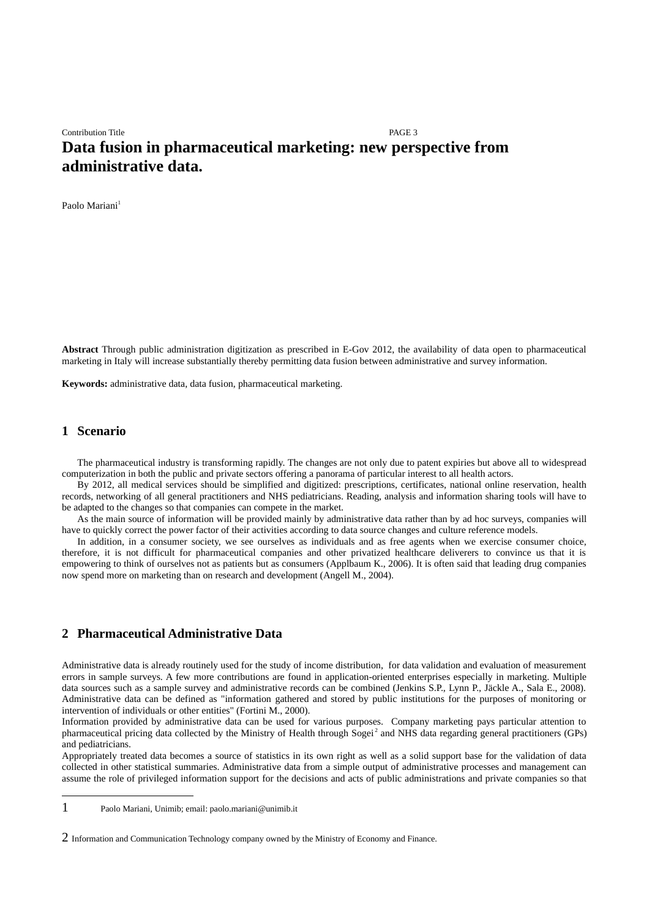# Contribution Title PAGE 3 **Data fusion in pharmaceutical marketing: new perspective from administrative data.**

Paolo Mariani<sup>[1](#page-0-0)</sup>

**Abstract** Through public administration digitization as prescribed in E-Gov 2012, the availability of data open to pharmaceutical marketing in Italy will increase substantially thereby permitting data fusion between administrative and survey information.

**Keywords:** administrative data, data fusion, pharmaceutical marketing.

#### **1 Scenario**

The pharmaceutical industry is transforming rapidly. The changes are not only due to patent expiries but above all to widespread computerization in both the public and private sectors offering a panorama of particular interest to all health actors.

By 2012, all medical services should be simplified and digitized: prescriptions, certificates, national online reservation, health records, networking of all general practitioners and NHS pediatricians. Reading, analysis and information sharing tools will have to be adapted to the changes so that companies can compete in the market.

As the main source of information will be provided mainly by administrative data rather than by ad hoc surveys, companies will have to quickly correct the power factor of their activities according to data source changes and culture reference models.

In addition, in a consumer society, we see ourselves as individuals and as free agents when we exercise consumer choice, therefore, it is not difficult for pharmaceutical companies and other privatized healthcare deliverers to convince us that it is empowering to think of ourselves not as patients but as consumers (Applbaum K., 2006). It is often said that leading drug companies now spend more on marketing than on research and development (Angell M., 2004).

## **2 Pharmaceutical Administrative Data**

Administrative data is already routinely used for the study of income distribution, for data validation and evaluation of measurement errors in sample surveys. A few more contributions are found in application-oriented enterprises especially in marketing. Multiple data sources such as a sample survey and administrative records can be combined (Jenkins S.P., Lynn P., Jäckle A., Sala E., 2008). Administrative data can be defined as "information gathered and stored by public institutions for the purposes of monitoring or intervention of individuals or other entities" (Fortini M., 2000).

Information provided by administrative data can be used for various purposes. Company marketing pays particular attention to pharmaceutical pricing data collected by the Ministry of Health through Sogei<sup>[2](#page-0-1)</sup> and NHS data regarding general practitioners (GPs) and pediatricians.

Appropriately treated data becomes a source of statistics in its own right as well as a solid support base for the validation of data collected in other statistical summaries. Administrative data from a simple output of administrative processes and management can assume the role of privileged information support for the decisions and acts of public administrations and private companies so that

<span id="page-0-0"></span><sup>1</sup> Paolo Mariani, Unimib; email: paolo.mariani@unimib.it

<span id="page-0-1"></span><sup>2</sup> Information and Communication Technology company owned by the Ministry of Economy and Finance.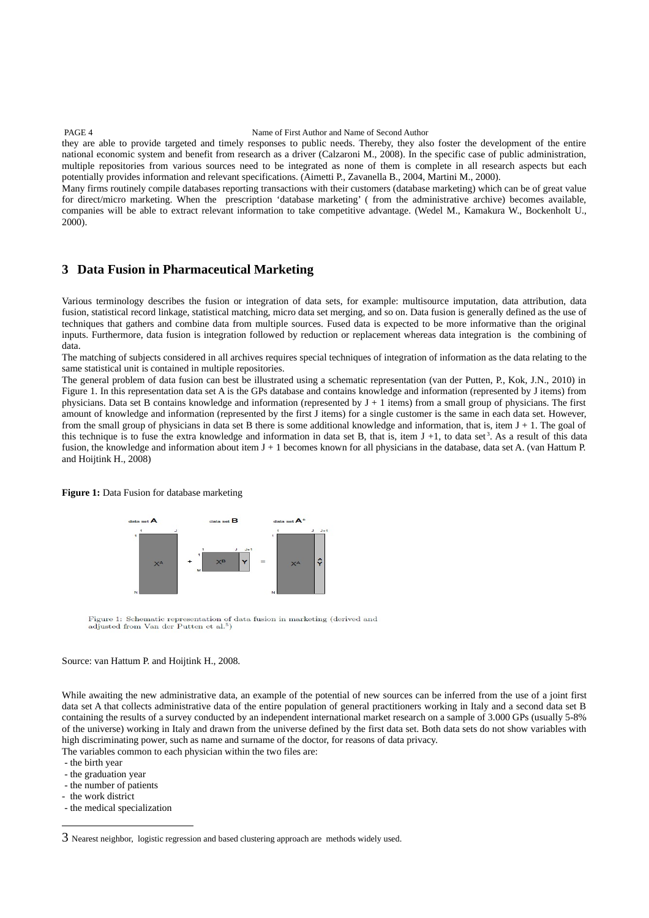#### PAGE 4 Name of First Author and Name of Second Author

they are able to provide targeted and timely responses to public needs. Thereby, they also foster the development of the entire national economic system and benefit from research as a driver (Calzaroni M., 2008). In the specific case of public administration, multiple repositories from various sources need to be integrated as none of them is complete in all research aspects but each potentially provides information and relevant specifications. (Aimetti P., Zavanella B., 2004, Martini M., 2000).

Many firms routinely compile databases reporting transactions with their customers (database marketing) which can be of great value for direct/micro marketing. When the prescription 'database marketing' ( from the administrative archive) becomes available, companies will be able to extract relevant information to take competitive advantage. (Wedel M., Kamakura W., Bockenholt U., 2000).

## **3 Data Fusion in Pharmaceutical Marketing**

Various terminology describes the fusion or integration of data sets, for example: multisource imputation, data attribution, data fusion, statistical record linkage, statistical matching, micro data set merging, and so on. Data fusion is generally defined as the use of techniques that gathers and combine data from multiple sources. Fused data is expected to be more informative than the original inputs. Furthermore, data fusion is integration followed by reduction or replacement whereas data integration is the combining of data.

The matching of subjects considered in all archives requires special techniques of integration of information as the data relating to the same statistical unit is contained in multiple repositories.

The general problem of data fusion can best be illustrated using a schematic representation (van der Putten, P., Kok, J.N., 2010) in Figure 1. In this representation data set A is the GPs database and contains knowledge and information (represented by J items) from physicians. Data set B contains knowledge and information (represented by  $J + 1$  items) from a small group of physicians. The first amount of knowledge and information (represented by the first J items) for a single customer is the same in each data set. However, from the small group of physicians in data set B there is some additional knowledge and information, that is, item  $J + 1$ . The goal of this technique is to fuse the extra knowledge and information in data set B, that is, item  $J + 1$ , to data set<sup>[3](#page-1-0)</sup>. As a result of this data fusion, the knowledge and information about item  $J + 1$  becomes known for all physicians in the database, data set A. (van Hattum P. and Hoijtink H., 2008)

#### **Figure 1:** Data Fusion for database marketing



Figure 1: Schematic representation of data fusion in marketing (derived and adjusted from Van der Putten et al.<sup>5</sup>)

#### Source: van Hattum P. and Hoijtink H., 2008.

While awaiting the new administrative data, an example of the potential of new sources can be inferred from the use of a joint first data set A that collects administrative data of the entire population of general practitioners working in Italy and a second data set B containing the results of a survey conducted by an independent international market research on a sample of 3.000 GPs (usually 5-8% of the universe) working in Italy and drawn from the universe defined by the first data set. Both data sets do not show variables with high discriminating power, such as name and surname of the doctor, for reasons of data privacy.

The variables common to each physician within the two files are:

- the birth year
- the graduation year
- the number of patients
- the work district
- the medical specialization

<span id="page-1-0"></span><sup>3</sup> Nearest neighbor, logistic regression and based clustering approach are methods widely used.